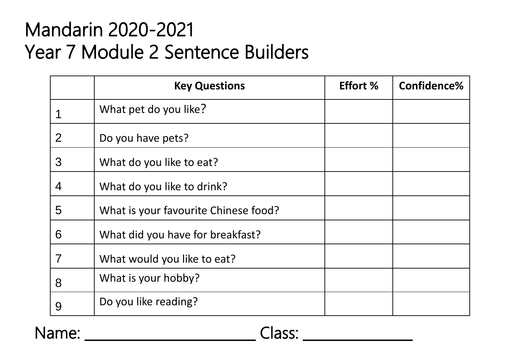#### Mandarin 2020-2021 Year 7 Module 2 Sentence Builders

|                | <b>Key Questions</b>                 | <b>Effort %</b> | Confidence% |
|----------------|--------------------------------------|-----------------|-------------|
|                | What pet do you like?                |                 |             |
| $\overline{2}$ | Do you have pets?                    |                 |             |
| 3              | What do you like to eat?             |                 |             |
| $\overline{4}$ | What do you like to drink?           |                 |             |
| 5              | What is your favourite Chinese food? |                 |             |
| 6              | What did you have for breakfast?     |                 |             |
| 7              | What would you like to eat?          |                 |             |
| 8              | What is your hobby?                  |                 |             |
| 9              | Do you like reading?                 |                 |             |

Name: \_\_\_\_\_\_\_\_\_\_\_\_\_\_\_\_\_\_\_\_\_\_\_\_\_ Class: \_\_\_\_\_\_\_\_\_\_\_\_\_\_\_\_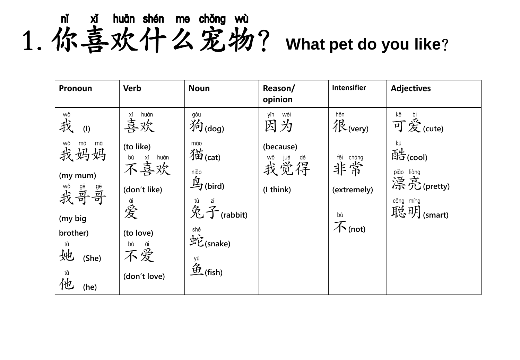m xi huān shén me chǒng wù<br>1. 你喜欢什么宠物? What pet do you like?

| Pronoun                     | <b>Verb</b>                    | <b>Noun</b>                                                   | Reason/<br>opinion            | Intensifier                    | <b>Adjectives</b>        |
|-----------------------------|--------------------------------|---------------------------------------------------------------|-------------------------------|--------------------------------|--------------------------|
| wǒ<br>我<br>(1)              | 道<br>喜欢                        | gǒu<br>狗(dog)                                                 | wéi<br>yīn<br>因为              | hěn<br>很(very)                 | kě<br>可爱(cute)           |
| wǒ mā mā<br>我妈妈             | (to like)<br>bù xǐ huān<br>不喜欢 | māo<br>猫(cat)                                                 | (because)<br>wǒ jué dé<br>我觉得 | fēi<br>cháng<br>非常             | kù<br>酷(cool)            |
| (my mum)<br>wǒ gē gē<br>我哥哥 | (don't like)                   | niăo<br>鸟(bird)                                               | (I think)                     | (extremely)                    | pião liàng<br>漂亮(pretty) |
| (my big                     | 道爱                             | tù $\mathring{\mathcal{Z}}$ $\mathring{\mathcal{T}}$ (rabbit) |                               | $\overline{\mathcal{F}}$ (not) | công míng<br>聪明(smart)   |
| brother)<br>她<br>(She)      | (to love)<br>bù<br>ia di       | shé<br>蛇(snake)                                               |                               |                                |                          |
| tā<br>他<br>(he)             | (don't love)                   | <sup>yú</sup><br>鱼 (fish)                                     |                               |                                |                          |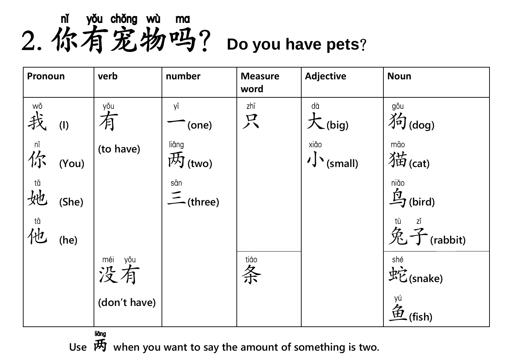m you chong wu ma<br>2. 你有宠物吗? Do you have pets?



liăng

**Use** 两 **when you want to say the amount of something is two.**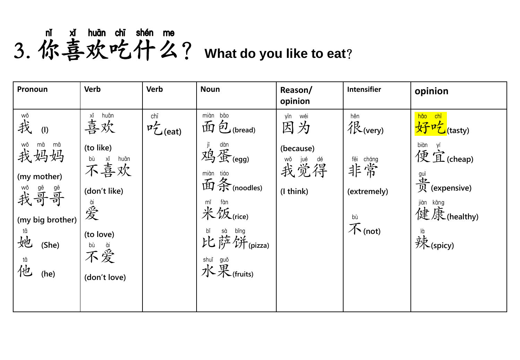#### **nǐ xǐ huān chī shén me**<br>3. 你喜欢吃什么? What do you like to eat?

| Pronoun                        | <b>Verb</b>                    | <b>Verb</b>                 | <b>Noun</b>                          | Reason/<br>opinion            | Intensifier                    | opinion                                                     |
|--------------------------------|--------------------------------|-----------------------------|--------------------------------------|-------------------------------|--------------------------------|-------------------------------------------------------------|
| wǒ<br>我<br>(1)                 | 道<br>喜欢                        | chī<br>$P_{\text{C}}$ (eat) | miàn bāo<br>面包(bread)                | yīn<br>wéi<br>因为              | hěn<br>很(very)                 | hǎo<br><mark>chī</mark><br>好吃(tasty)                        |
| wǒ mā mā<br>我妈妈<br>(my mother) | (to like)<br>bù xǐ huān<br>不喜欢 |                             | jī dàn<br>鸡蛋(egg)<br>miàn tiáo       | (because)<br>wǒ jué dé<br>我觉得 | fēi cháng<br> 丰常               | biàn yí<br>便宜(cheap)                                        |
| <sup>wǒ gē gē</sup>            | (don't like)<br>會爱             |                             | 面条(noodles)<br>fàn<br>mĭ<br>米饭(rice) | (I think)                     | (extremely)                    | <sup>guì</sup><br>史 (expensive)<br>jiàn kāng<br>健康(healthy) |
| (my big brother)<br>她<br>(She) | (to love)<br>bù ài             |                             | bǐ sà bǐng<br>比萨饼(pizza)             |                               | $\overline{\mathcal{F}}$ (not) | <sup>là</sup><br>辣(spicy)                                   |
| 值他<br>(he)                     | (don't love)                   |                             | shuǐ guǒ<br>水果(fruits)               |                               |                                |                                                             |
|                                |                                |                             |                                      |                               |                                |                                                             |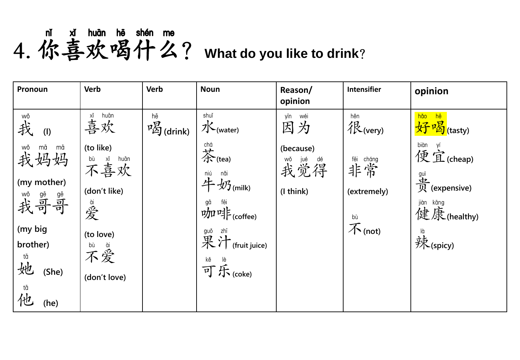### mǐ xǐ huān hē shén me<br>4. 你喜欢喝什么? What do you like to drink?

| Pronoun                              | <b>Verb</b>                    | <b>Verb</b>                                 | <b>Noun</b>                                                                                                              | Reason/<br>opinion                       | <b>Intensifier</b>        | opinion                                                                                             |
|--------------------------------------|--------------------------------|---------------------------------------------|--------------------------------------------------------------------------------------------------------------------------|------------------------------------------|---------------------------|-----------------------------------------------------------------------------------------------------|
| wǒ<br>我<br>(1)                       | 道huān<br>喜欢                    | hē<br>$\mathbb{Z}_{\mathbb{Z}}^{g}$ (drink) | shuǐ<br>水(water)                                                                                                         | wéi<br>yīn<br>因为                         | hěn<br>很(very)            | hǎo<br>hē<br>好喝(tasty)                                                                              |
| wǒ<br>mā<br>mā<br>我妈妈<br>(my mother) | (to like)<br>bù xǐ huān<br>不喜欢 |                                             | chá<br>茶(tea)<br>niú<br>nǎi                                                                                              | (because)<br><sup>wo jué</sup> dé<br>我觉得 | fēi cháng<br>非常           | biàn<br>biàn yí<br>便宜(cheap)<br>$\mathcal{\mathcal{\mathcal{F}}}\overline{\mathcal{R}}$ (expensive) |
| wǒ gē gē<br>我哥哥                      | (don't like)<br>當爱             |                                             | 牛奶(milk)<br>$\mathcal{W}^{\mathfrak{g}^{\bar{\mathfrak{g}}}}$ $\mathcal{W}^{\mathfrak{g}^{\bar{\mathfrak{g}}}}$ (coffee) | (I think)                                | (extremely)<br>bù         | jiàn kāng<br>健康(healthy)                                                                            |
| (my big<br>brother)<br>tā<br>她       | (to love)<br>bù ài             |                                             | $\mathbb R$ 汁 (fruit juice)<br>$\overrightarrow{P}$ $\overrightarrow{F}$ (coke)                                          |                                          | $\bar{\mathcal{K}}$ (not) | <sup>là</sup><br>辣(spicy)                                                                           |
| (She)<br>tā<br>他<br>(he)             | (don't love)                   |                                             |                                                                                                                          |                                          |                           |                                                                                                     |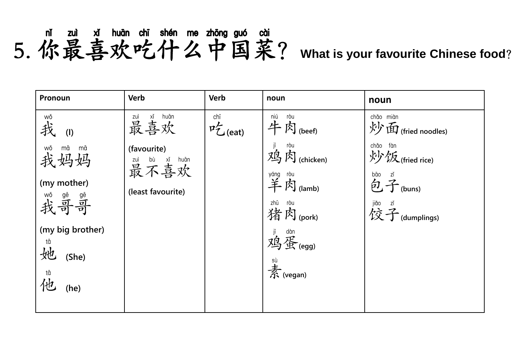#### mǐ zuì xǐ huān chī shén me zhōng guó cài<br>5. 你最喜欢吃什么中国菜? What is your favourite Chinese food?

| Pronoun                         | <b>Verb</b>                           | <b>Verb</b>                 | noun                                          | noun                                         |
|---------------------------------|---------------------------------------|-----------------------------|-----------------------------------------------|----------------------------------------------|
| wǒ<br>我<br>(1)                  | zuì xǐ huān<br>最喜欢                    | chī<br>$P_{\text{C}}$ (eat) | niú<br>ròu<br>牛肉(beef)                        | chảo miàn<br>炒面(fried noodles)               |
| wǒ<br>mā<br>mā<br>我妈妈           | (favourite)<br>zuì bù xǐ huān<br>最不喜欢 |                             | <sup>ròu</sup><br>内(chicken)<br>鸡             | chǎo<br>fàn<br>炒饭(fried rice)<br>zĭ          |
| (my mother)<br>wǒ gē gē<br>我哥哥  | (least favourite)                     |                             | yáng ròu<br>羊肉 (lamb)<br>zhū ròu<br>猪肉 (pork) | bāo<br>包子(buns)<br>jiǎo zǐ<br>饺子 (dumplings) |
| (my big brother)<br>tā<br>(She) |                                       |                             | jī dàn<br>鸡蛋(egg)                             |                                              |
| tā<br>仙<br>(he)                 |                                       |                             | $\overset{\text{si}}{\mathcal{F}}$ (vegan)    |                                              |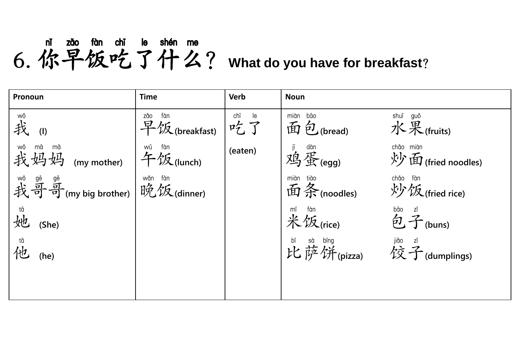#### mi zǎo fàn chī le shén me<br>6. 你早饭吃了什么? What do you have for breakfast?

| Pronoun                                    | <b>Time</b>                                                                   | <b>Verb</b>                                                                                                                                                                                                                                                                                                                                         | <b>Noun</b>                              |                                                             |
|--------------------------------------------|-------------------------------------------------------------------------------|-----------------------------------------------------------------------------------------------------------------------------------------------------------------------------------------------------------------------------------------------------------------------------------------------------------------------------------------------------|------------------------------------------|-------------------------------------------------------------|
| wǒ<br>我<br>(1)                             | zăo<br>早饭(breakfast)                                                          | $\begin{picture}(120,115) \put(0,0){\line(1,0){15}} \put(15,0){\line(1,0){15}} \put(15,0){\line(1,0){15}} \put(15,0){\line(1,0){15}} \put(15,0){\line(1,0){15}} \put(15,0){\line(1,0){15}} \put(15,0){\line(1,0){15}} \put(15,0){\line(1,0){15}} \put(15,0){\line(1,0){15}} \put(15,0){\line(1,0){15}} \put(15,0){\line(1,0){15}} \put(15,0){\line$ | miàn bāo<br>面包(bread)                    | shuǐ guǒ<br>水果(fruits)                                      |
| wǒ mā mā<br>我妈妈 (my mother)                | $\mathcal{L} \overset{\text{wá}}{\leftarrow} \mathcal{L} \mathcal{L}$ (lunch) | (eaten)                                                                                                                                                                                                                                                                                                                                             | <sup>jī dàn</sup><br>鸡蛋(egg)             | chảo miàn<br>炒面(fried noodles)                              |
| wǒ gē gē<br>我哥哥(my big brother) 晚饭(dinner) |                                                                               |                                                                                                                                                                                                                                                                                                                                                     | miàn tiáo<br>面条 (noodles)                | chǎo<br>fàn<br>炒饭(fried rice)                               |
| tā<br>她<br>(She)                           |                                                                               |                                                                                                                                                                                                                                                                                                                                                     | mĭ<br>米饭(rice)                           | bāo<br>$\overleftrightarrow{D}$ $\overrightarrow{A}$ (buns) |
| <sup>tā</sup><br>仆<br>(he)                 |                                                                               |                                                                                                                                                                                                                                                                                                                                                     | bǐ sà bǐng<br>比萨饼(pizza)   饺子(dumplings) |                                                             |
|                                            |                                                                               |                                                                                                                                                                                                                                                                                                                                                     |                                          |                                                             |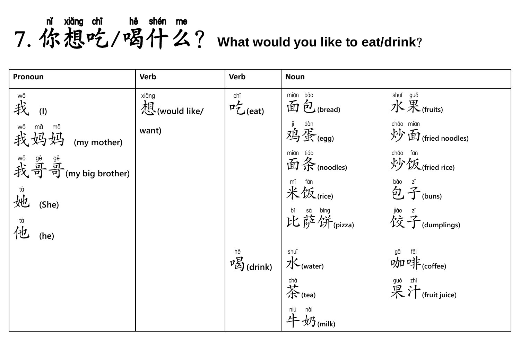mǐ xiǎng chī hē shén me<br>7. 你想吃/喝什么? What would you like to eat/drink?

| Pronoun                                   | <b>Verb</b>            | <b>Verb</b>                                  | <b>Noun</b>                                                              |                                                                                                                                                                                                                                                                                                                                                             |
|-------------------------------------------|------------------------|----------------------------------------------|--------------------------------------------------------------------------|-------------------------------------------------------------------------------------------------------------------------------------------------------------------------------------------------------------------------------------------------------------------------------------------------------------------------------------------------------------|
| wǒ<br>我<br>(1)                            | xiǎng<br>想(would like/ | $\mathfrak{p}^{\text{chi}}_{\text{C}}$ (eat) | miàn bāo<br>面包(bread)                                                    | shuǐ guǒ<br>水果(fruits)                                                                                                                                                                                                                                                                                                                                      |
| wǒ mā mā<br>我妈妈 (my mother)               | want)                  |                                              | jī dàn<br>鸡蛋(egg)                                                        | chảo miàn<br>炒面(fried noodles)                                                                                                                                                                                                                                                                                                                              |
| <sup>wǒ gē</sup> 晶<br>我哥哥(my big brother) |                        |                                              | miàn tiáo<br>面条 (noodles)                                                | chǎo fàn<br>炒饭(fried rice)                                                                                                                                                                                                                                                                                                                                  |
| 随她<br>(She)                               |                        |                                              | $\overset{\text{mi}}{\text{#}} \overset{\text{fùn}}{\text{#}}$<br>(rice) | $\overleftrightarrow{D}$ $\overrightarrow{I}$ (buns)                                                                                                                                                                                                                                                                                                        |
| <sup>tā</sup><br>(he)                     |                        |                                              | bǐ sà bǐng jiǎo zǐ<br>比萨饼(pizza)   佼子(dumplings)                         |                                                                                                                                                                                                                                                                                                                                                             |
|                                           |                        | <sup>hē</sup><br>呼 <mark>又</mark> (drink)    | shuǐ<br><b>7</b> (water)                                                 | $\mathcal{W}$ $\mathcal{W}$ $\mathcal{V}$ $\mathcal{V}$ $\mathcal{V}$ $\mathcal{V}$ $\mathcal{V}$ $\mathcal{V}$ $\mathcal{V}$ $\mathcal{V}$ $\mathcal{V}$ $\mathcal{V}$ $\mathcal{V}$ $\mathcal{V}$ $\mathcal{V}$ $\mathcal{V}$ $\mathcal{V}$ $\mathcal{V}$ $\mathcal{V}$ $\mathcal{V}$ $\mathcal{V}$ $\mathcal{V}$ $\mathcal{V}$ $\mathcal{V}$ $\mathcal{$ |
|                                           |                        |                                              | chá<br>$\overleftrightarrow{A}$ (tea)                                    | guǒ zhī<br>果汁 (fruit juice)                                                                                                                                                                                                                                                                                                                                 |
|                                           |                        |                                              | $\int \frac{\text{min}}{4} \frac{\text{min}}{2} \frac{\text{min}}{2}$    |                                                                                                                                                                                                                                                                                                                                                             |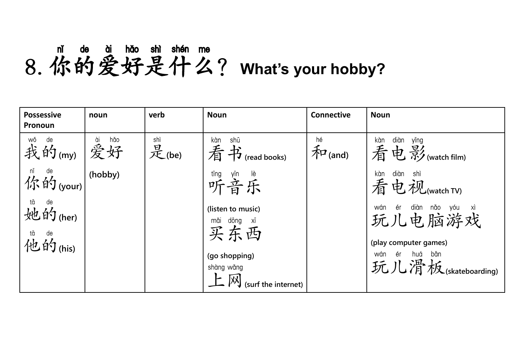## **8. 你的爱好是什么? What's your hobby?**

| <b>Possessive</b><br>Pronoun                                                  | noun | verb         | <b>Noun</b>                                   | <b>Connective</b>                                                    | <b>Noun</b>                                                       |
|-------------------------------------------------------------------------------|------|--------------|-----------------------------------------------|----------------------------------------------------------------------|-------------------------------------------------------------------|
| <sup>wǒ de</sup> (my) 爱好                                                      | hǎo  | shì<br>是(be) | shū<br>kàn<br>看书(read books)                  | $\widehat{\mathcal{F}}$ <sup><math>\mathcal{F}</math></sup> $($ and) | kàn<br>diàn<br>yǐng<br>看电影(watch film)                            |
| $\left  \bigwedge^{\text{ni}}\mathfrak{h}\right ^{ \text{de}}$ (your) (hobby) |      |              | 『『 <sup>tīng</sup><br>听音乐                     |                                                                      | kàn<br>diàn<br>-shì<br>看电视(watch TV)                              |
| tā de<br>她的(her)                                                              |      |              | (listen to music)<br>mǎi dōng xī<br>买东西       |                                                                      | wán ér diàn nǎo yóu xì<br>玩儿电脑游戏                                  |
| tā de<br>他的(his)                                                              |      |              | (go shopping)<br>shàng wǎng                   |                                                                      | (play computer games)<br>huá băn<br>wán ér<br>玩儿滑板(skateboarding) |
|                                                                               |      |              | $\mathbf{F}$ $\mathbf{M}$ (surf the internet) |                                                                      |                                                                   |